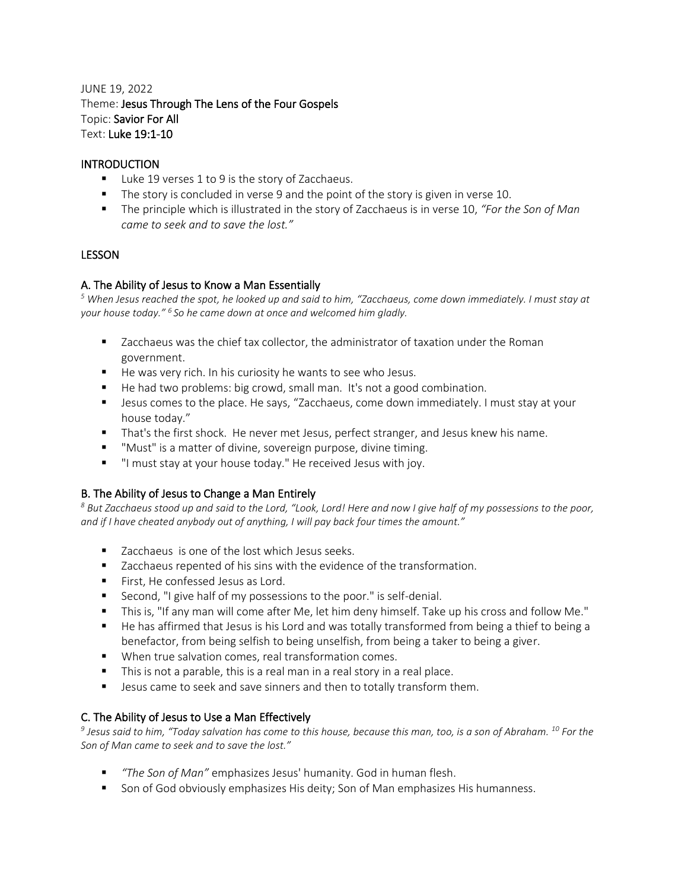# JUNE 19, 2022 Theme: Jesus Through The Lens of the Four Gospels Topic: Savior For All Text: Luke 19:1-10

## **INTRODUCTION**

- Luke 19 verses 1 to 9 is the story of Zacchaeus.
- The story is concluded in verse 9 and the point of the story is given in verse 10.
- The principle which is illustrated in the story of Zacchaeus is in verse 10, "For the Son of Man *came to seek and to save the lost."*

#### LESSON

## A. The Ability of Jesus to Know a Man Essentially

*<sup>5</sup> When Jesus reached the spot, he looked up and said to him, "Zacchaeus, come down immediately. I must stay at your house today." <sup>6</sup>So he came down at once and welcomed him gladly.*

- Zacchaeus was the chief tax collector, the administrator of taxation under the Roman government.
- He was very rich. In his curiosity he wants to see who Jesus.
- He had two problems: big crowd, small man. It's not a good combination.
- Jesus comes to the place. He says, "Zacchaeus, come down immediately. I must stay at your house today."
- That's the first shock. He never met Jesus, perfect stranger, and Jesus knew his name.
- "Must" is a matter of divine, sovereign purpose, divine timing.
- "I must stay at your house today." He received Jesus with joy.

#### B. The Ability of Jesus to Change a Man Entirely

*<sup>8</sup> But Zacchaeus stood up and said to the Lord, "Look, Lord! Here and now I give half of my possessions to the poor, and if I have cheated anybody out of anything, I will pay back four times the amount."*

- Zacchaeus is one of the lost which Jesus seeks.
- Zacchaeus repented of his sins with the evidence of the transformation.
- First, He confessed Jesus as Lord.
- Second, "I give half of my possessions to the poor." is self-denial.
- This is, "If any man will come after Me, let him deny himself. Take up his cross and follow Me."
- He has affirmed that Jesus is his Lord and was totally transformed from being a thief to being a benefactor, from being selfish to being unselfish, from being a taker to being a giver.
- When true salvation comes, real transformation comes.
- This is not a parable, this is a real man in a real story in a real place.
- Jesus came to seek and save sinners and then to totally transform them.

#### C. The Ability of Jesus to Use a Man Effectively

*9 Jesus said to him, "Today salvation has come to this house, because this man, too, is a son of Abraham. <sup>10</sup> For the Son of Man came to seek and to save the lost."*

- *"The Son of Man"* emphasizes Jesus' humanity. God in human flesh.
- Son of God obviously emphasizes His deity; Son of Man emphasizes His humanness.